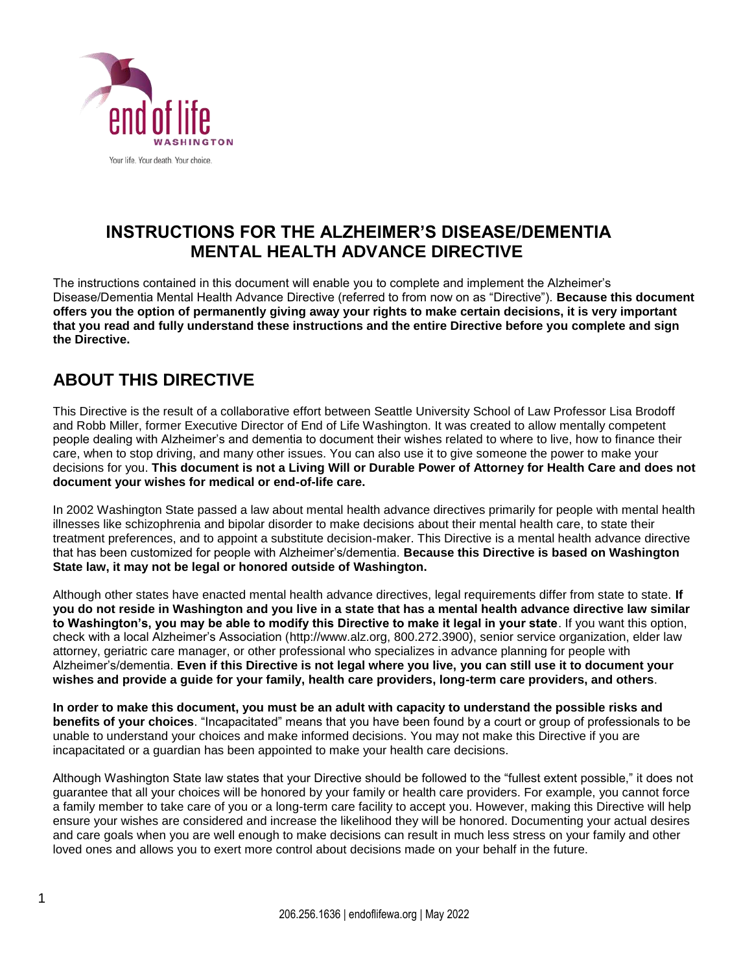

### **INSTRUCTIONS FOR THE ALZHEIMER'S DISEASE/DEMENTIA MENTAL HEALTH ADVANCE DIRECTIVE**

The instructions contained in this document will enable you to complete and implement the Alzheimer's Disease/Dementia Mental Health Advance Directive (referred to from now on as "Directive"). **Because this document offers you the option of permanently giving away your rights to make certain decisions, it is very important that you read and fully understand these instructions and the entire Directive before you complete and sign the Directive.** 

# **ABOUT THIS DIRECTIVE**

This Directive is the result of a collaborative effort between Seattle University School of Law Professor Lisa Brodoff and Robb Miller, former Executive Director of End of Life Washington. It was created to allow mentally competent people dealing with Alzheimer's and dementia to document their wishes related to where to live, how to finance their care, when to stop driving, and many other issues. You can also use it to give someone the power to make your decisions for you. **This document is not a Living Will or Durable Power of Attorney for Health Care and does not document your wishes for medical or end-of-life care.** 

In 2002 Washington State passed a law about mental health advance directives primarily for people with mental health illnesses like schizophrenia and bipolar disorder to make decisions about their mental health care, to state their treatment preferences, and to appoint a substitute decision-maker. This Directive is a mental health advance directive that has been customized for people with Alzheimer's/dementia. **Because this Directive is based on Washington State law, it may not be legal or honored outside of Washington.** 

Although other states have enacted mental health advance directives, legal requirements differ from state to state. **If you do not reside in Washington and you live in a state that has a mental health advance directive law similar to Washington's, you may be able to modify this Directive to make it legal in your state**. If you want this option, check with a local Alzheimer's Association [\(http://www.alz.org, 8](http://www.alz.org/)00.272.3900), senior service organization, elder law attorney, geriatric care manager, or other professional who specializes in advance planning for people with Alzheimer's/dementia. **Even if this Directive is not legal where you live, you can still use it to document your wishes and provide a guide for your family, health care providers, long-term care providers, and others**.

**In order to make this document, you must be an adult with capacity to understand the possible risks and benefits of your choices**. "Incapacitated" means that you have been found by a court or group of professionals to be unable to understand your choices and make informed decisions. You may not make this Directive if you are incapacitated or a guardian has been appointed to make your health care decisions.

Although Washington State law states that your Directive should be followed to the "fullest extent possible," it does not guarantee that all your choices will be honored by your family or health care providers. For example, you cannot force a family member to take care of you or a long-term care facility to accept you. However, making this Directive will help ensure your wishes are considered and increase the likelihood they will be honored. Documenting your actual desires and care goals when you are well enough to make decisions can result in much less stress on your family and other loved ones and allows you to exert more control about decisions made on your behalf in the future.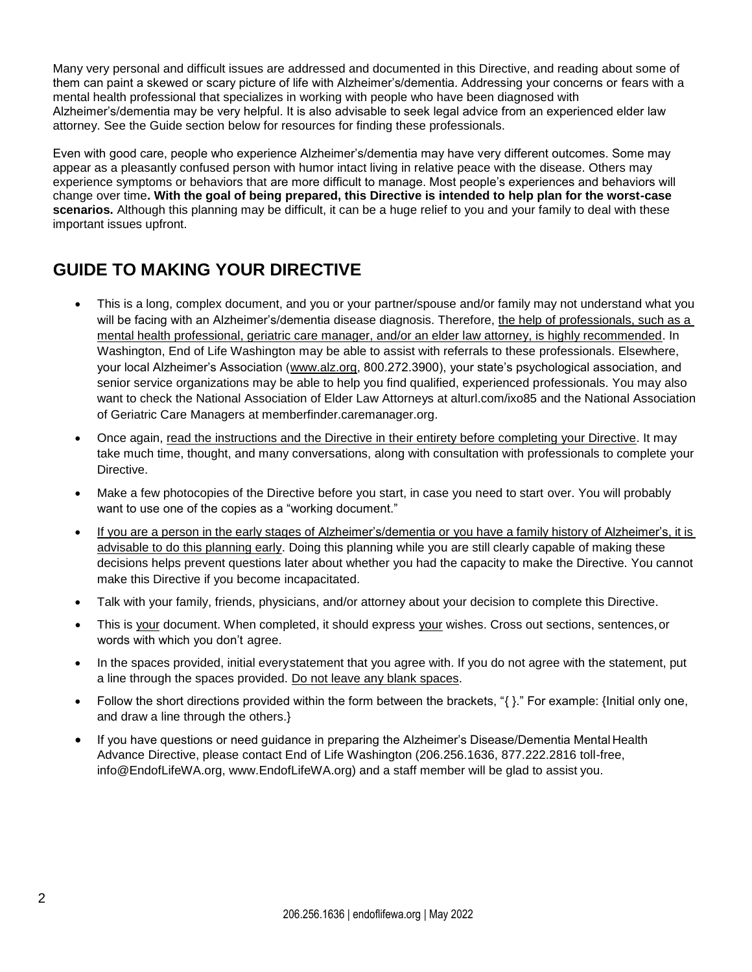Many very personal and difficult issues are addressed and documented in this Directive, and reading about some of them can paint a skewed or scary picture of life with Alzheimer's/dementia. Addressing your concerns or fears with a mental health professional that specializes in working with people who have been diagnosed with Alzheimer's/dementia may be very helpful. It is also advisable to seek legal advice from an experienced elder law attorney. See the Guide section below for resources for finding these professionals.

Even with good care, people who experience Alzheimer's/dementia may have very different outcomes. Some may appear as a pleasantly confused person with humor intact living in relative peace with the disease. Others may experience symptoms or behaviors that are more difficult to manage. Most people's experiences and behaviors will change over time**. With the goal of being prepared, this Directive is intended to help plan for the worst-case scenarios.** Although this planning may be difficult, it can be a huge relief to you and your family to deal with these important issues upfront.

# **GUIDE TO MAKING YOUR DIRECTIVE**

- This is a long, complex document, and you or your partner/spouse and/or family may not understand what you will be facing with an Alzheimer's/dementia disease diagnosis. Therefore, the help of professionals, such as a mental health professional, geriatric care manager, and/or an elder law attorney, is highly recommended. In Washington, End of Life Washington may be able to assist with referrals to these professionals. Elsewhere, your local Alzheimer's Association [\(www.alz.org, 8](http://www.alz.org/)00.272.3900), your state's psychological association, and senior service organizations may be able to help you find qualified, experienced professionals. You may also want to check the National Association of Elder Law Attorneys at alturl.com/ixo85 and the National Association of Geriatric Care Managers at memberfinder.caremanager.org.
- Once again, read the instructions and the Directive in their entirety before completing your Directive. It may take much time, thought, and many conversations, along with consultation with professionals to complete your Directive.
- Make a few photocopies of the Directive before you start, in case you need to start over. You will probably want to use one of the copies as a "working document."
- If you are a person in the early stages of Alzheimer's/dementia or you have a family history of Alzheimer's, it is advisable to do this planning early. Doing this planning while you are still clearly capable of making these decisions helps prevent questions later about whether you had the capacity to make the Directive. You cannot make this Directive if you become incapacitated.
- Talk with your family, friends, physicians, and/or attorney about your decision to complete this Directive.
- This is your document. When completed, it should express your wishes. Cross out sections, sentences,or words with which you don't agree.
- In the spaces provided, initial everystatement that you agree with. If you do not agree with the statement, put a line through the spaces provided. Do not leave any blank spaces.
- Follow the short directions provided within the form between the brackets, "{ }." For example: {Initial only one, and draw a line through the others.}
- If you have questions or need quidance in preparing the Alzheimer's Disease/Dementia Mental Health Advance Directive, please contact End of Life Washington (206.256.1636, 877.222.2816 toll-free[,](mailto:info@EndofLifeWA.org) [info@EndofLifeWA.org, w](mailto:info@EndofLifeWA.org)ww.EndofLifeWA.org) and a staff member will be glad to assist you.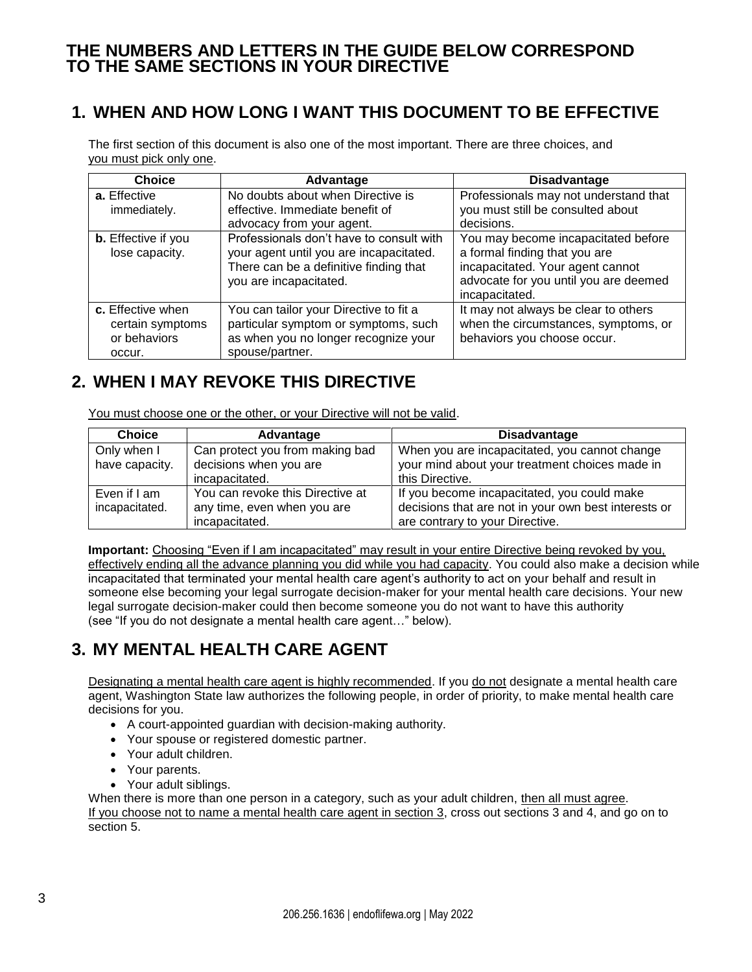### **THE NUMBERS AND LETTERS IN THE GUIDE BELOW CORRESPOND TO THE SAME SECTIONS IN YOUR DIRECTIVE**

# **1. WHEN AND HOW LONG I WANT THIS DOCUMENT TO BE EFFECTIVE**

The first section of this document is also one of the most important. There are three choices, and you must pick only one.

| <b>Choice</b>              | Advantage                                | <b>Disadvantage</b>                   |  |
|----------------------------|------------------------------------------|---------------------------------------|--|
| a. Effective               | No doubts about when Directive is        | Professionals may not understand that |  |
| immediately.               | effective. Immediate benefit of          | you must still be consulted about     |  |
|                            | advocacy from your agent.                | decisions.                            |  |
| <b>b.</b> Effective if you | Professionals don't have to consult with | You may become incapacitated before   |  |
| lose capacity.             | your agent until you are incapacitated.  | a formal finding that you are         |  |
|                            | There can be a definitive finding that   | incapacitated. Your agent cannot      |  |
|                            | you are incapacitated.                   | advocate for you until you are deemed |  |
|                            |                                          | incapacitated.                        |  |
| c. Effective when          | You can tailor your Directive to fit a   | It may not always be clear to others  |  |
| certain symptoms           | particular symptom or symptoms, such     | when the circumstances, symptoms, or  |  |
| or behaviors               | as when you no longer recognize your     | behaviors you choose occur.           |  |
| occur.                     | spouse/partner.                          |                                       |  |

## **2. WHEN I MAY REVOKE THIS DIRECTIVE**

You must choose one or the other, or your Directive will not be valid.

| <b>Choice</b>  | Advantage                        | <b>Disadvantage</b>                                  |
|----------------|----------------------------------|------------------------------------------------------|
| Only when I    | Can protect you from making bad  | When you are incapacitated, you cannot change        |
| have capacity. | decisions when you are           | your mind about your treatment choices made in       |
|                | incapacitated.                   | this Directive.                                      |
| Even if I am   | You can revoke this Directive at | If you become incapacitated, you could make          |
| incapacitated. | any time, even when you are      | decisions that are not in your own best interests or |
|                | incapacitated.                   | are contrary to your Directive.                      |

**Important:** Choosing "Even if I am incapacitated" may result in your entire Directive being revoked by you, effectively ending all the advance planning you did while you had capacity. You could also make a decision while incapacitated that terminated your mental health care agent's authority to act on your behalf and result in someone else becoming your legal surrogate decision-maker for your mental health care decisions. Your new legal surrogate decision-maker could then become someone you do not want to have this authority (see "If you do not designate a mental health care agent…" below).

# **3. MY MENTAL HEALTH CARE AGENT**

Designating a mental health care agent is highly recommended. If you do not designate a mental health care agent, Washington State law authorizes the following people, in order of priority, to make mental health care decisions for you.

- A court-appointed guardian with decision-making authority.
- Your spouse or registered domestic partner.
- Your adult children.
- Your parents.
- Your adult siblings.

When there is more than one person in a category, such as your adult children, then all must agree. If you choose not to name a mental health care agent in section 3, cross out sections 3 and 4, and go on to section 5.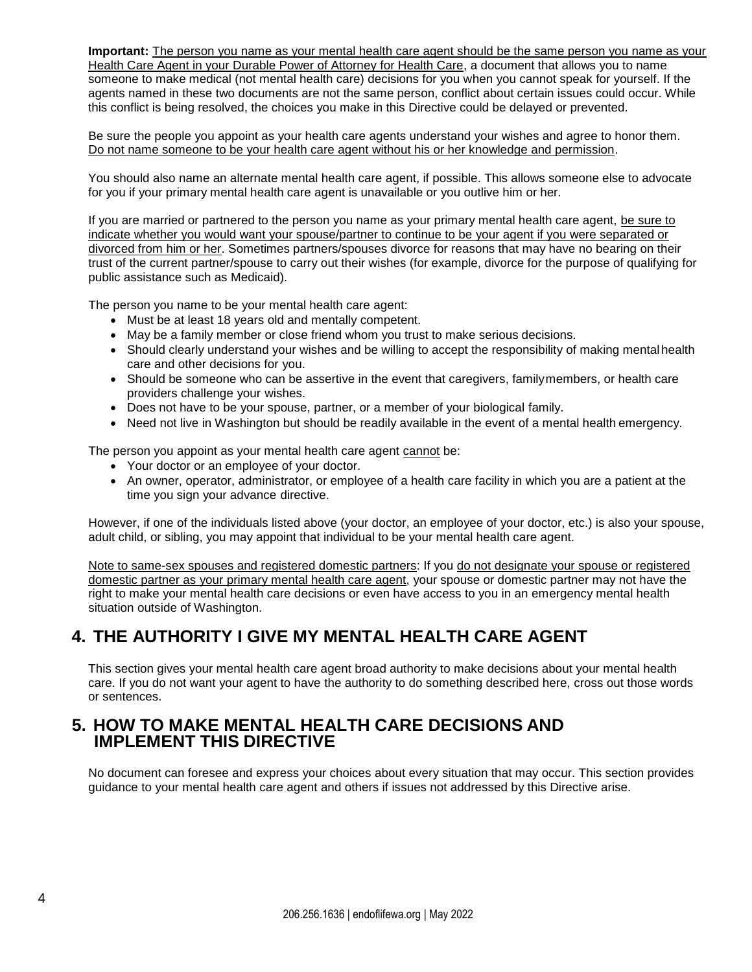**Important:** The person you name as your mental health care agent should be the same person you name as your Health Care Agent in your Durable Power of Attorney for Health Care, a document that allows you to name someone to make medical (not mental health care) decisions for you when you cannot speak for yourself. If the agents named in these two documents are not the same person, conflict about certain issues could occur. While this conflict is being resolved, the choices you make in this Directive could be delayed or prevented.

Be sure the people you appoint as your health care agents understand your wishes and agree to honor them. Do not name someone to be your health care agent without his or her knowledge and permission.

You should also name an alternate mental health care agent, if possible. This allows someone else to advocate for you if your primary mental health care agent is unavailable or you outlive him or her.

If you are married or partnered to the person you name as your primary mental health care agent, be sure to indicate whether you would want your spouse/partner to continue to be your agent if you were separated or divorced from him or her. Sometimes partners/spouses divorce for reasons that may have no bearing on their trust of the current partner/spouse to carry out their wishes (for example, divorce for the purpose of qualifying for public assistance such as Medicaid).

The person you name to be your mental health care agent:

- Must be at least 18 years old and mentally competent.
- May be a family member or close friend whom you trust to make serious decisions.
- Should clearly understand your wishes and be willing to accept the responsibility of making mental health care and other decisions for you.
- Should be someone who can be assertive in the event that caregivers, familymembers, or health care providers challenge your wishes.
- Does not have to be your spouse, partner, or a member of your biological family.
- Need not live in Washington but should be readily available in the event of a mental health emergency.

The person you appoint as your mental health care agent cannot be:

- Your doctor or an employee of your doctor.
- An owner, operator, administrator, or employee of a health care facility in which you are a patient at the time you sign your advance directive.

However, if one of the individuals listed above (your doctor, an employee of your doctor, etc.) is also your spouse, adult child, or sibling, you may appoint that individual to be your mental health care agent.

Note to same-sex spouses and registered domestic partners: If you do not designate your spouse or registered domestic partner as your primary mental health care agent, your spouse or domestic partner may not have the right to make your mental health care decisions or even have access to you in an emergency mental health situation outside of Washington.

# **4. THE AUTHORITY I GIVE MY MENTAL HEALTH CARE AGENT**

This section gives your mental health care agent broad authority to make decisions about your mental health care. If you do not want your agent to have the authority to do something described here, cross out those words or sentences.

### **5. HOW TO MAKE MENTAL HEALTH CARE DECISIONS AND IMPLEMENT THIS DIRECTIVE**

No document can foresee and express your choices about every situation that may occur. This section provides guidance to your mental health care agent and others if issues not addressed by this Directive arise.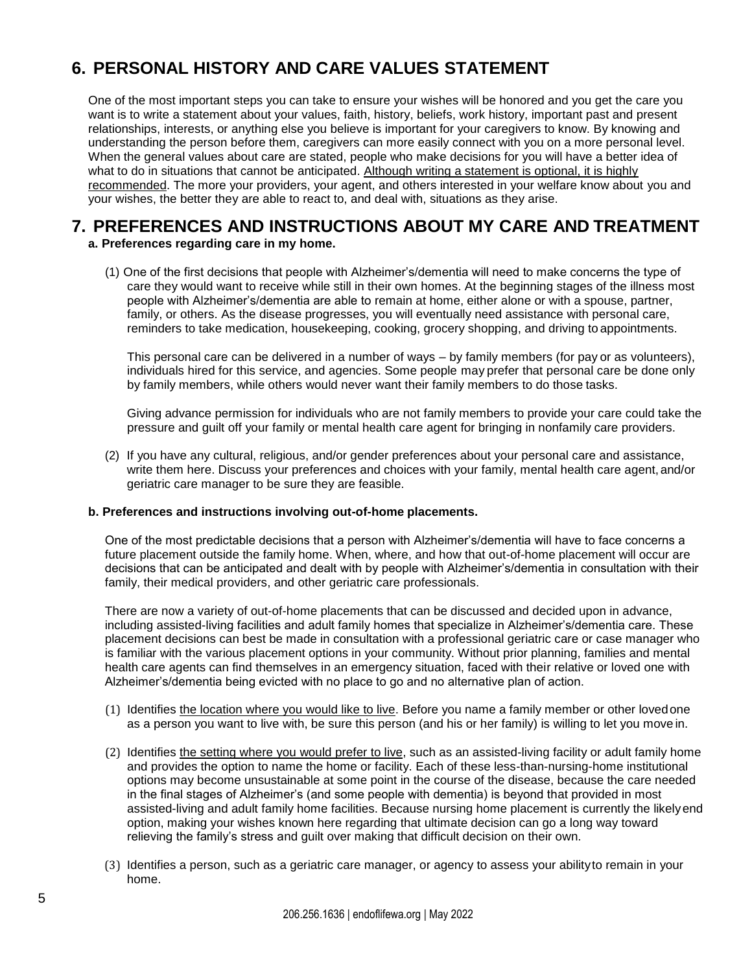# **6. PERSONAL HISTORY AND CARE VALUES STATEMENT**

One of the most important steps you can take to ensure your wishes will be honored and you get the care you want is to write a statement about your values, faith, history, beliefs, work history, important past and present relationships, interests, or anything else you believe is important for your caregivers to know. By knowing and understanding the person before them, caregivers can more easily connect with you on a more personal level. When the general values about care are stated, people who make decisions for you will have a better idea of what to do in situations that cannot be anticipated. Although writing a statement is optional, it is highly recommended. The more your providers, your agent, and others interested in your welfare know about you and your wishes, the better they are able to react to, and deal with, situations as they arise.

### **7. PREFERENCES AND INSTRUCTIONS ABOUT MY CARE AND TREATMENT a. Preferences regarding care in my home.**

(1) One of the first decisions that people with Alzheimer's/dementia will need to make concerns the type of care they would want to receive while still in their own homes. At the beginning stages of the illness most people with Alzheimer's/dementia are able to remain at home, either alone or with a spouse, partner, family, or others. As the disease progresses, you will eventually need assistance with personal care, reminders to take medication, housekeeping, cooking, grocery shopping, and driving to appointments.

This personal care can be delivered in a number of ways – by family members (for pay or as volunteers), individuals hired for this service, and agencies. Some people may prefer that personal care be done only by family members, while others would never want their family members to do those tasks.

Giving advance permission for individuals who are not family members to provide your care could take the pressure and guilt off your family or mental health care agent for bringing in nonfamily care providers.

(2) If you have any cultural, religious, and/or gender preferences about your personal care and assistance, write them here. Discuss your preferences and choices with your family, mental health care agent, and/or geriatric care manager to be sure they are feasible.

#### **b. Preferences and instructions involving out-of-home placements.**

One of the most predictable decisions that a person with Alzheimer's/dementia will have to face concerns a future placement outside the family home. When, where, and how that out-of-home placement will occur are decisions that can be anticipated and dealt with by people with Alzheimer's/dementia in consultation with their family, their medical providers, and other geriatric care professionals.

There are now a variety of out-of-home placements that can be discussed and decided upon in advance, including assisted-living facilities and adult family homes that specialize in Alzheimer's/dementia care. These placement decisions can best be made in consultation with a professional geriatric care or case manager who is familiar with the various placement options in your community. Without prior planning, families and mental health care agents can find themselves in an emergency situation, faced with their relative or loved one with Alzheimer's/dementia being evicted with no place to go and no alternative plan of action.

- (1) Identifies the location where you would like to live. Before you name a family member or other lovedone as a person you want to live with, be sure this person (and his or her family) is willing to let you move in.
- (2) Identifies the setting where you would prefer to live, such as an assisted-living facility or adult family home and provides the option to name the home or facility. Each of these less-than-nursing-home institutional options may become unsustainable at some point in the course of the disease, because the care needed in the final stages of Alzheimer's (and some people with dementia) is beyond that provided in most assisted-living and adult family home facilities. Because nursing home placement is currently the likelyend option, making your wishes known here regarding that ultimate decision can go a long way toward relieving the family's stress and guilt over making that difficult decision on their own.
- (3) Identifies a person, such as a geriatric care manager, or agency to assess your abilityto remain in your home.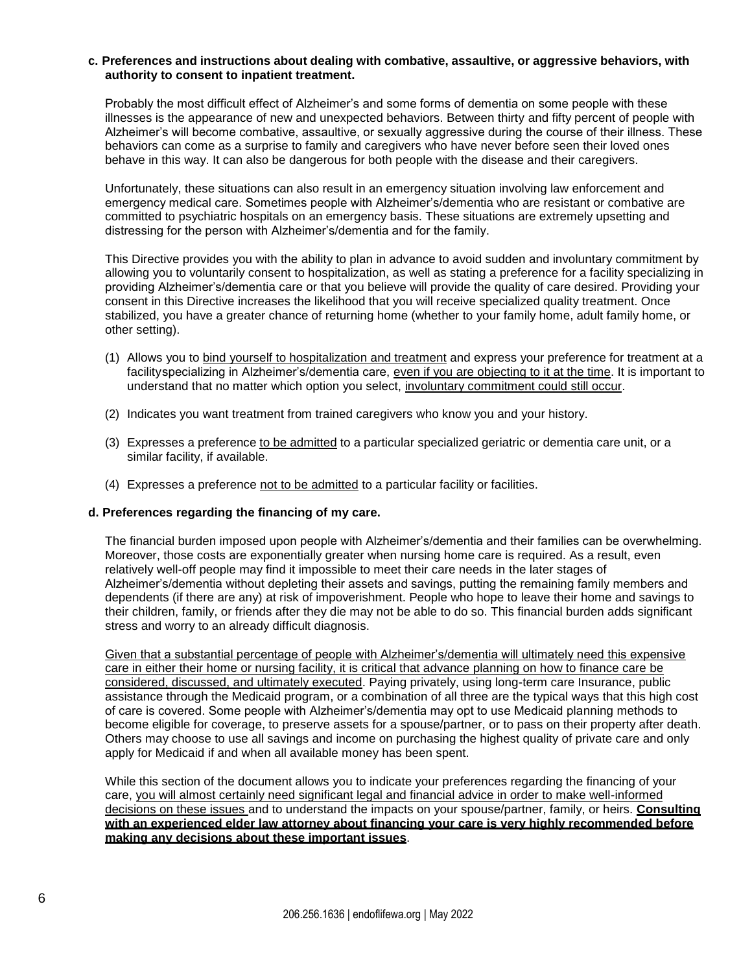#### **c. Preferences and instructions about dealing with combative, assaultive, or aggressive behaviors, with authority to consent to inpatient treatment.**

Probably the most difficult effect of Alzheimer's and some forms of dementia on some people with these illnesses is the appearance of new and unexpected behaviors. Between thirty and fifty percent of people with Alzheimer's will become combative, assaultive, or sexually aggressive during the course of their illness. These behaviors can come as a surprise to family and caregivers who have never before seen their loved ones behave in this way. It can also be dangerous for both people with the disease and their caregivers.

Unfortunately, these situations can also result in an emergency situation involving law enforcement and emergency medical care. Sometimes people with Alzheimer's/dementia who are resistant or combative are committed to psychiatric hospitals on an emergency basis. These situations are extremely upsetting and distressing for the person with Alzheimer's/dementia and for the family.

This Directive provides you with the ability to plan in advance to avoid sudden and involuntary commitment by allowing you to voluntarily consent to hospitalization, as well as stating a preference for a facility specializing in providing Alzheimer's/dementia care or that you believe will provide the quality of care desired. Providing your consent in this Directive increases the likelihood that you will receive specialized quality treatment. Once stabilized, you have a greater chance of returning home (whether to your family home, adult family home, or other setting).

- (1) Allows you to bind yourself to hospitalization and treatment and express your preference for treatment at a facilityspecializing in Alzheimer's/dementia care, even if you are objecting to it at the time. It is important to understand that no matter which option you select, involuntary commitment could still occur.
- (2) Indicates you want treatment from trained caregivers who know you and your history.
- (3) Expresses a preference to be admitted to a particular specialized geriatric or dementia care unit, or a similar facility, if available.
- (4) Expresses a preference not to be admitted to a particular facility or facilities.

#### **d. Preferences regarding the financing of my care.**

The financial burden imposed upon people with Alzheimer's/dementia and their families can be overwhelming. Moreover, those costs are exponentially greater when nursing home care is required. As a result, even relatively well-off people may find it impossible to meet their care needs in the later stages of Alzheimer's/dementia without depleting their assets and savings, putting the remaining family members and dependents (if there are any) at risk of impoverishment. People who hope to leave their home and savings to their children, family, or friends after they die may not be able to do so. This financial burden adds significant stress and worry to an already difficult diagnosis.

Given that a substantial percentage of people with Alzheimer's/dementia will ultimately need this expensive care in either their home or nursing facility, it is critical that advance planning on how to finance care be considered, discussed, and ultimately executed. Paying privately, using long-term care Insurance, public assistance through the Medicaid program, or a combination of all three are the typical ways that this high cost of care is covered. Some people with Alzheimer's/dementia may opt to use Medicaid planning methods to become eligible for coverage, to preserve assets for a spouse/partner, or to pass on their property after death. Others may choose to use all savings and income on purchasing the highest quality of private care and only apply for Medicaid if and when all available money has been spent.

While this section of the document allows you to indicate your preferences regarding the financing of your care, you will almost certainly need significant legal and financial advice in order to make well-informed decisions on these issues and to understand the impacts on your spouse/partner, family, or heirs. **Consulting with an experienced elder law attorney about financing your care is very highly recommended before making any decisions about these important issues**.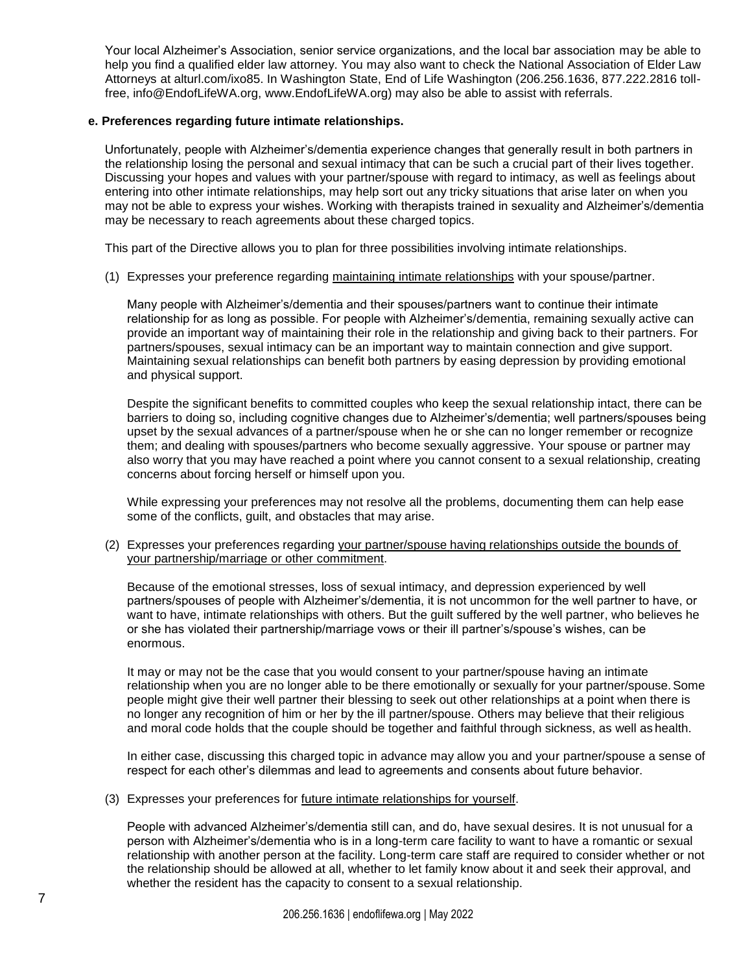Your local Alzheimer's Association, senior service organizations, and the local bar association may be able to help you find a qualified elder law attorney. You may also want to check the National Association of Elder Law Attorneys at alturl.com/ixo85. In Washington State, End of Life Washington (206.256.1636, 877.222.2816 tollfree, [info@EndofLifeWA.org, w](mailto:info@EndofLifeWA.org)ww.EndofLifeWA.org) may also be able to assist with referrals.

#### **e. Preferences regarding future intimate relationships.**

Unfortunately, people with Alzheimer's/dementia experience changes that generally result in both partners in the relationship losing the personal and sexual intimacy that can be such a crucial part of their lives together. Discussing your hopes and values with your partner/spouse with regard to intimacy, as well as feelings about entering into other intimate relationships, may help sort out any tricky situations that arise later on when you may not be able to express your wishes. Working with therapists trained in sexuality and Alzheimer's/dementia may be necessary to reach agreements about these charged topics.

This part of the Directive allows you to plan for three possibilities involving intimate relationships.

(1) Expresses your preference regarding maintaining intimate relationships with your spouse/partner.

Many people with Alzheimer's/dementia and their spouses/partners want to continue their intimate relationship for as long as possible. For people with Alzheimer's/dementia, remaining sexually active can provide an important way of maintaining their role in the relationship and giving back to their partners. For partners/spouses, sexual intimacy can be an important way to maintain connection and give support. Maintaining sexual relationships can benefit both partners by easing depression by providing emotional and physical support.

Despite the significant benefits to committed couples who keep the sexual relationship intact, there can be barriers to doing so, including cognitive changes due to Alzheimer's/dementia; well partners/spouses being upset by the sexual advances of a partner/spouse when he or she can no longer remember or recognize them; and dealing with spouses/partners who become sexually aggressive. Your spouse or partner may also worry that you may have reached a point where you cannot consent to a sexual relationship, creating concerns about forcing herself or himself upon you.

While expressing your preferences may not resolve all the problems, documenting them can help ease some of the conflicts, guilt, and obstacles that may arise.

(2) Expresses your preferences regarding your partner/spouse having relationships outside the bounds of your partnership/marriage or other commitment.

Because of the emotional stresses, loss of sexual intimacy, and depression experienced by well partners/spouses of people with Alzheimer's/dementia, it is not uncommon for the well partner to have, or want to have, intimate relationships with others. But the guilt suffered by the well partner, who believes he or she has violated their partnership/marriage vows or their ill partner's/spouse's wishes, can be enormous.

It may or may not be the case that you would consent to your partner/spouse having an intimate relationship when you are no longer able to be there emotionally or sexually for your partner/spouse.Some people might give their well partner their blessing to seek out other relationships at a point when there is no longer any recognition of him or her by the ill partner/spouse. Others may believe that their religious and moral code holds that the couple should be together and faithful through sickness, as well as health.

In either case, discussing this charged topic in advance may allow you and your partner/spouse a sense of respect for each other's dilemmas and lead to agreements and consents about future behavior.

(3) Expresses your preferences for future intimate relationships for yourself.

People with advanced Alzheimer's/dementia still can, and do, have sexual desires. It is not unusual for a person with Alzheimer's/dementia who is in a long-term care facility to want to have a romantic or sexual relationship with another person at the facility. Long-term care staff are required to consider whether or not the relationship should be allowed at all, whether to let family know about it and seek their approval, and whether the resident has the capacity to consent to a sexual relationship.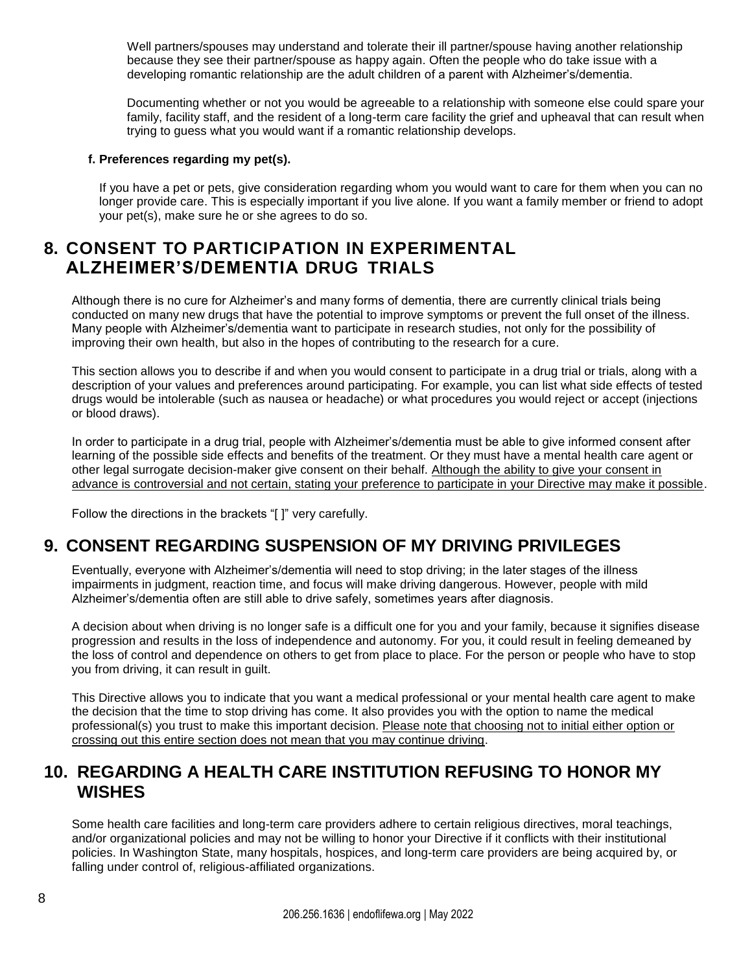Well partners/spouses may understand and tolerate their ill partner/spouse having another relationship because they see their partner/spouse as happy again. Often the people who do take issue with a developing romantic relationship are the adult children of a parent with Alzheimer's/dementia.

Documenting whether or not you would be agreeable to a relationship with someone else could spare your family, facility staff, and the resident of a long-term care facility the grief and upheaval that can result when trying to guess what you would want if a romantic relationship develops.

#### **f. Preferences regarding my pet(s).**

If you have a pet or pets, give consideration regarding whom you would want to care for them when you can no longer provide care. This is especially important if you live alone. If you want a family member or friend to adopt your pet(s), make sure he or she agrees to do so.

### **8. CONSENT TO PARTICIPATION IN EXPERIMENTAL ALZHEIMER'S/DEMENTIA DRUG TRIALS**

Although there is no cure for Alzheimer's and many forms of dementia, there are currently clinical trials being conducted on many new drugs that have the potential to improve symptoms or prevent the full onset of the illness. Many people with Alzheimer's/dementia want to participate in research studies, not only for the possibility of improving their own health, but also in the hopes of contributing to the research for a cure.

This section allows you to describe if and when you would consent to participate in a drug trial or trials, along with a description of your values and preferences around participating. For example, you can list what side effects of tested drugs would be intolerable (such as nausea or headache) or what procedures you would reject or accept (injections or blood draws).

In order to participate in a drug trial, people with Alzheimer's/dementia must be able to give informed consent after learning of the possible side effects and benefits of the treatment. Or they must have a mental health care agent or other legal surrogate decision-maker give consent on their behalf. Although the ability to give your consent in advance is controversial and not certain, stating your preference to participate in your Directive may make it possible.

Follow the directions in the brackets "[ ]" very carefully.

### **9. CONSENT REGARDING SUSPENSION OF MY DRIVING PRIVILEGES**

Eventually, everyone with Alzheimer's/dementia will need to stop driving; in the later stages of the illness impairments in judgment, reaction time, and focus will make driving dangerous. However, people with mild Alzheimer's/dementia often are still able to drive safely, sometimes years after diagnosis.

A decision about when driving is no longer safe is a difficult one for you and your family, because it signifies disease progression and results in the loss of independence and autonomy. For you, it could result in feeling demeaned by the loss of control and dependence on others to get from place to place. For the person or people who have to stop you from driving, it can result in guilt.

This Directive allows you to indicate that you want a medical professional or your mental health care agent to make the decision that the time to stop driving has come. It also provides you with the option to name the medical professional(s) you trust to make this important decision. Please note that choosing not to initial either option or crossing out this entire section does not mean that you may continue driving.

### **10. REGARDING A HEALTH CARE INSTITUTION REFUSING TO HONOR MY WISHES**

Some health care facilities and long-term care providers adhere to certain religious directives, moral teachings, and/or organizational policies and may not be willing to honor your Directive if it conflicts with their institutional policies. In Washington State, many hospitals, hospices, and long-term care providers are being acquired by, or falling under control of, religious-affiliated organizations.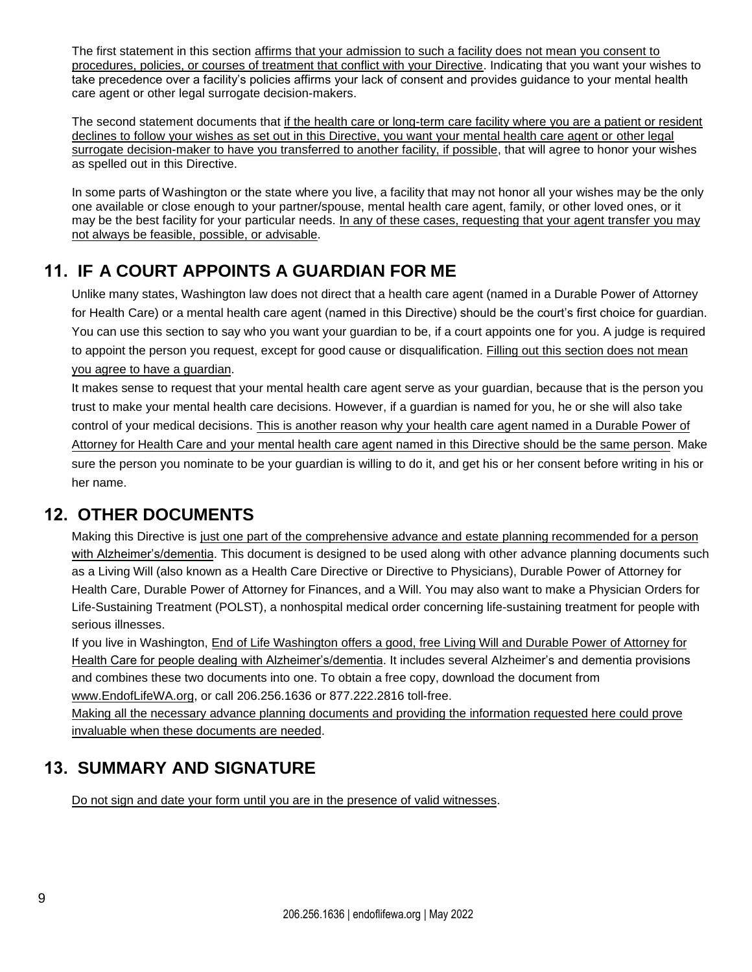The first statement in this section affirms that your admission to such a facility does not mean you consent to procedures, policies, or courses of treatment that conflict with your Directive. Indicating that you want your wishes to take precedence over a facility's policies affirms your lack of consent and provides guidance to your mental health care agent or other legal surrogate decision-makers.

The second statement documents that if the health care or long-term care facility where you are a patient or resident declines to follow your wishes as set out in this Directive, you want your mental health care agent or other legal surrogate decision-maker to have you transferred to another facility, if possible, that will agree to honor your wishes as spelled out in this Directive.

In some parts of Washington or the state where you live, a facility that may not honor all your wishes may be the only one available or close enough to your partner/spouse, mental health care agent, family, or other loved ones, or it may be the best facility for your particular needs. In any of these cases, requesting that your agent transfer you may not always be feasible, possible, or advisable.

# **11. IF A COURT APPOINTS A GUARDIAN FOR ME**

Unlike many states, Washington law does not direct that a health care agent (named in a Durable Power of Attorney for Health Care) or a mental health care agent (named in this Directive) should be the court's first choice for guardian. You can use this section to say who you want your guardian to be, if a court appoints one for you. A judge is required to appoint the person you request, except for good cause or disqualification. Filling out this section does not mean you agree to have a guardian.

It makes sense to request that your mental health care agent serve as your guardian, because that is the person you trust to make your mental health care decisions. However, if a guardian is named for you, he or she will also take control of your medical decisions. This is another reason why your health care agent named in a Durable Power of Attorney for Health Care and your mental health care agent named in this Directive should be the same person. Make sure the person you nominate to be your guardian is willing to do it, and get his or her consent before writing in his or her name.

# **12. OTHER DOCUMENTS**

Making this Directive is just one part of the comprehensive advance and estate planning recommended for a person with Alzheimer's/dementia. This document is designed to be used along with other advance planning documents such as a Living Will (also known as a Health Care Directive or Directive to Physicians), Durable Power of Attorney for Health Care, Durable Power of Attorney for Finances, and a Will. You may also want to make a Physician Orders for Life-Sustaining Treatment (POLST), a nonhospital medical order concerning life-sustaining treatment for people with serious illnesses.

If you live in Washington, End of Life Washington offers a good, free Living Will and Durable Power of Attorney for Health Care for people dealing with Alzheimer's/dementia. It includes several Alzheimer's and dementia provisions and combines these two documents into one. To obtain a free copy, download the document from www.EndofLifeWA.org, or call 206.256.1636 or 877.222.2816 toll-free.

[Making all the necessary](http://www.endoflifewa.org/) advance planning documents and providing the information requested here could prove invaluable when these documents are needed.

# **13. SUMMARY AND SIGNATURE**

Do not sign and date your form until you are in the presence of valid witnesses.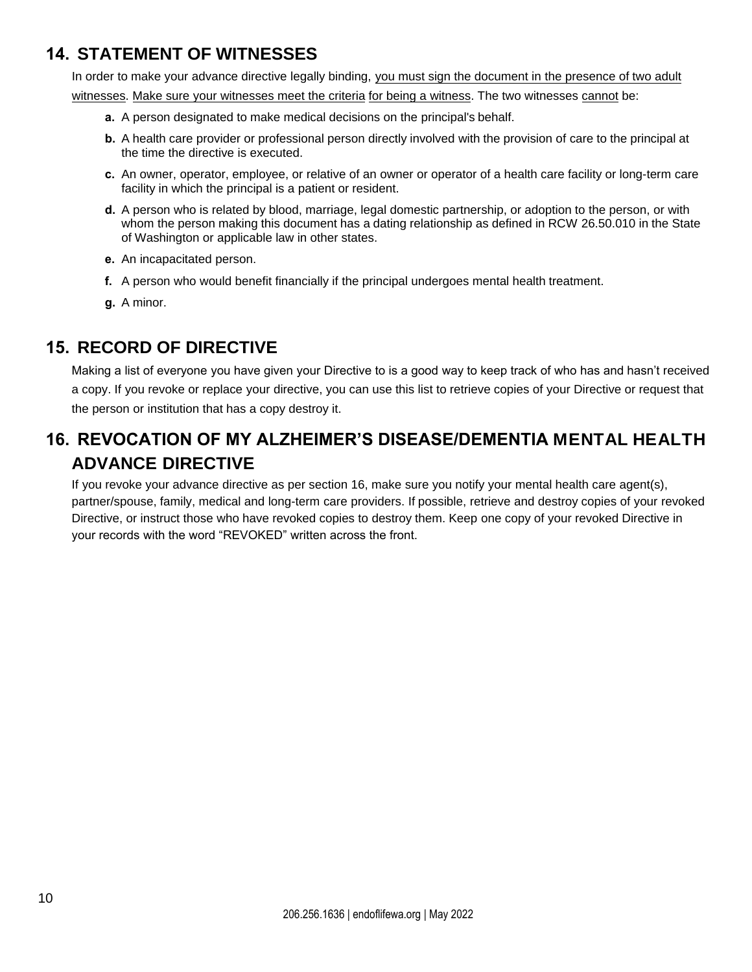### **14. STATEMENT OF WITNESSES**

In order to make your advance directive legally binding, you must sign the document in the presence of two adult

witnesses. Make sure your witnesses meet the criteria for being a witness. The two witnesses cannot be:

- **a.** A person designated to make medical decisions on the principal's behalf.
- **b.** A health care provider or professional person directly involved with the provision of care to the principal at the time the directive is executed.
- **c.** An owner, operator, employee, or relative of an owner or operator of a health care facility or long-term care facility in which the principal is a patient or resident.
- **d.** A person who is related by blood, marriage, legal domestic partnership, or adoption to the person, or with whom the person making this document has a dating relationship as defined in RCW 26.50.010 in the State of Washington or applicable law in other states.
- **e.** An incapacitated person.
- **f.** A person who would benefit financially if the principal undergoes mental health treatment.
- **g.** A minor.

## **15. RECORD OF DIRECTIVE**

Making a list of everyone you have given your Directive to is a good way to keep track of who has and hasn't received a copy. If you revoke or replace your directive, you can use this list to retrieve copies of your Directive or request that the person or institution that has a copy destroy it.

# **16. REVOCATION OF MY ALZHEIMER'S DISEASE/DEMENTIA MENTAL HEALTH ADVANCE DIRECTIVE**

If you revoke your advance directive as per section 16, make sure you notify your mental health care agent(s), partner/spouse, family, medical and long-term care providers. If possible, retrieve and destroy copies of your revoked Directive, or instruct those who have revoked copies to destroy them. Keep one copy of your revoked Directive in your records with the word "REVOKED" written across the front.